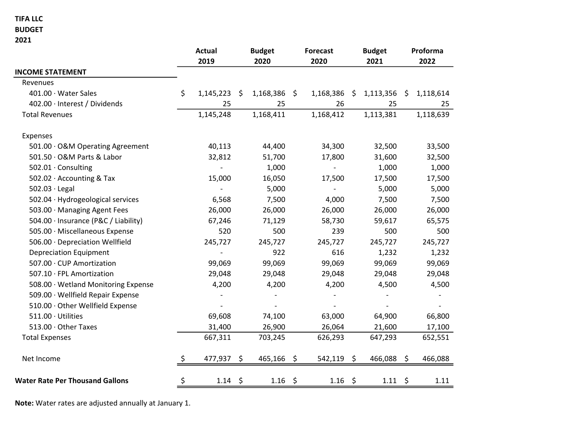## TIFA LLC

#### BUDGET

2021

|                                        |    | <b>Actual</b><br>2019 |    | <b>Budget</b><br>2020 |         | <b>Forecast</b><br>2020  |         | <b>Budget</b><br>2021 |    | Proforma<br>2022 |  |  |
|----------------------------------------|----|-----------------------|----|-----------------------|---------|--------------------------|---------|-----------------------|----|------------------|--|--|
| <b>INCOME STATEMENT</b>                |    |                       |    |                       |         |                          |         |                       |    |                  |  |  |
| Revenues                               |    |                       |    |                       |         |                          |         |                       |    |                  |  |  |
| 401.00 · Water Sales                   | \$ | 1,145,223             | \$ | 1,168,386             | \$      | 1,168,386                | Ş.      | 1,113,356             | \$ | 1,118,614        |  |  |
| 402.00 · Interest / Dividends          |    | 25                    |    | 25                    |         | 26                       |         | 25                    |    | 25               |  |  |
| <b>Total Revenues</b>                  |    | 1,145,248             |    | 1,168,411             |         | 1,168,412                |         | 1,113,381             |    | 1,118,639        |  |  |
| Expenses                               |    |                       |    |                       |         |                          |         |                       |    |                  |  |  |
| 501.00 · O&M Operating Agreement       |    | 40,113                |    | 44,400                |         | 34,300                   |         | 32,500                |    | 33,500           |  |  |
| 501.50 · O&M Parts & Labor             |    | 32,812                |    | 51,700                |         | 17,800                   |         | 31,600                |    | 32,500           |  |  |
| 502.01 · Consulting                    |    |                       |    | 1,000                 |         | $\overline{\phantom{a}}$ |         | 1,000                 |    | 1,000            |  |  |
| 502.02 · Accounting & Tax              |    | 15,000                |    | 16,050                |         | 17,500                   |         | 17,500                |    | 17,500           |  |  |
| $502.03 \cdot$ Legal                   |    |                       |    | 5,000                 |         |                          |         | 5,000                 |    | 5,000            |  |  |
| 502.04 · Hydrogeological services      |    | 6,568                 |    | 7,500                 |         | 4,000                    |         | 7,500                 |    | 7,500            |  |  |
| 503.00 · Managing Agent Fees           |    | 26,000                |    | 26,000                |         | 26,000                   |         | 26,000                |    | 26,000           |  |  |
| 504.00 · Insurance (P&C / Liability)   |    | 67,246                |    | 71,129                |         | 58,730                   |         | 59,617                |    | 65,575           |  |  |
| 505.00 · Miscellaneous Expense         |    | 520                   |    | 500                   |         | 239                      |         | 500                   |    | 500              |  |  |
| 506.00 · Depreciation Wellfield        |    | 245,727               |    | 245,727               |         | 245,727                  |         | 245,727               |    | 245,727          |  |  |
| <b>Depreciation Equipment</b>          |    |                       |    | 922                   |         | 616                      |         | 1,232                 |    | 1,232            |  |  |
| 507.00 · CUP Amortization              |    | 99,069                |    | 99,069                |         | 99,069                   |         | 99,069                |    | 99,069           |  |  |
| 507.10 · FPL Amortization              |    | 29,048                |    | 29,048                |         | 29,048                   |         | 29,048                |    | 29,048           |  |  |
| 508.00 · Wetland Monitoring Expense    |    | 4,200                 |    | 4,200                 |         | 4,200                    |         | 4,500                 |    | 4,500            |  |  |
| 509.00 · Wellfield Repair Expense      |    |                       |    |                       |         |                          |         |                       |    |                  |  |  |
| 510.00 · Other Wellfield Expense       |    |                       |    |                       |         |                          |         |                       |    |                  |  |  |
| 511.00 · Utilities                     |    | 69,608                |    | 74,100                |         | 63,000                   |         | 64,900                |    | 66,800           |  |  |
| 513.00 · Other Taxes                   |    | 31,400                |    | 26,900                |         | 26,064                   |         | 21,600                |    | 17,100           |  |  |
| <b>Total Expenses</b>                  |    | 667,311               |    | 703,245               |         | 626,293                  |         | 647,293               |    | 652,551          |  |  |
| Net Income                             | \$ | 477,937               | \$ | 465,166               | \$      | 542,119                  | \$      | 466,088 \$            |    | 466,088          |  |  |
| <b>Water Rate Per Thousand Gallons</b> | \$ | 1.14                  | \$ | 1.16                  | $\zeta$ | 1.16                     | $\zeta$ | $1.11 \; \S$          |    | 1.11             |  |  |

Note: Water rates are adjusted annually at January 1.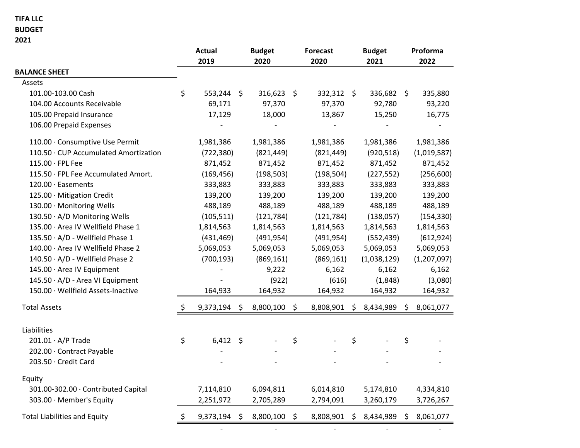### TIFA LLC

#### BUDGET

2021

|                                       | <b>Actual</b><br>2019 |                | <b>Budget</b><br>2020 |         | <b>Forecast</b><br>2020 |      | <b>Budget</b><br>2021 |    | Proforma<br>2022 |  |
|---------------------------------------|-----------------------|----------------|-----------------------|---------|-------------------------|------|-----------------------|----|------------------|--|
| <b>BALANCE SHEET</b>                  |                       |                |                       |         |                         |      |                       |    |                  |  |
| Assets                                |                       |                |                       |         |                         |      |                       |    |                  |  |
| 101.00-103.00 Cash                    | \$                    | $553,244$ \$   | 316,623 \$            |         | 332,312 \$              |      | 336,682 \$            |    | 335,880          |  |
| 104.00 Accounts Receivable            |                       | 69,171         | 97,370                |         | 97,370                  |      | 92,780                |    | 93,220           |  |
| 105.00 Prepaid Insurance              |                       | 17,129         | 18,000                |         | 13,867                  |      | 15,250                |    | 16,775           |  |
| 106.00 Prepaid Expenses               |                       |                |                       |         |                         |      |                       |    |                  |  |
| 110.00 · Consumptive Use Permit       |                       | 1,981,386      | 1,981,386             |         | 1,981,386               |      | 1,981,386             |    | 1,981,386        |  |
| 110.50 · CUP Accumulated Amortization |                       | (722, 380)     | (821, 449)            |         | (821, 449)              |      | (920, 518)            |    | (1,019,587)      |  |
| 115.00 · FPL Fee                      |                       | 871,452        | 871,452               |         | 871,452                 |      | 871,452               |    | 871,452          |  |
| 115.50 · FPL Fee Accumulated Amort.   |                       | (169, 456)     | (198, 503)            |         | (198, 504)              |      | (227, 552)            |    | (256, 600)       |  |
| 120.00 · Easements                    |                       | 333,883        | 333,883               |         | 333,883                 |      | 333,883               |    | 333,883          |  |
| 125.00 · Mitigation Credit            |                       | 139,200        | 139,200               |         | 139,200                 |      | 139,200               |    | 139,200          |  |
| 130.00 · Monitoring Wells             |                       | 488,189        | 488,189               |         | 488,189                 |      | 488,189               |    | 488,189          |  |
| 130.50 · A/D Monitoring Wells         |                       | (105, 511)     | (121, 784)            |         | (121, 784)              |      | (138,057)             |    | (154, 330)       |  |
| 135.00 · Area IV Wellfield Phase 1    |                       | 1,814,563      | 1,814,563             |         | 1,814,563               |      | 1,814,563             |    | 1,814,563        |  |
| 135.50 · A/D - Wellfield Phase 1      |                       | (431, 469)     | (491, 954)            |         | (491, 954)              |      | (552, 439)            |    | (612, 924)       |  |
| 140.00 · Area IV Wellfield Phase 2    |                       | 5,069,053      | 5,069,053             |         | 5,069,053               |      | 5,069,053             |    | 5,069,053        |  |
| 140.50 · A/D - Wellfield Phase 2      |                       | (700, 193)     | (869, 161)            |         | (869, 161)              |      | (1,038,129)           |    | (1, 207, 097)    |  |
| 145.00 · Area IV Equipment            |                       |                | 9,222                 |         | 6,162                   |      | 6,162                 |    | 6,162            |  |
| 145.50 · A/D - Area VI Equipment      |                       |                | (922)                 |         | (616)                   |      | (1,848)               |    | (3,080)          |  |
| 150.00 · Wellfield Assets-Inactive    |                       | 164,933        | 164,932               |         | 164,932                 |      | 164,932               |    | 164,932          |  |
| <b>Total Assets</b>                   | \$                    | 9,373,194      | \$<br>8,800,100       | $\zeta$ | 8,808,901               | \$   | 8,434,989             | \$ | 8,061,077        |  |
| Liabilities                           |                       |                |                       |         |                         |      |                       |    |                  |  |
| $201.01 \cdot A/P$ Trade              | \$                    | $6,412$ \$     |                       | \$      |                         | \$   |                       | \$ |                  |  |
| 202.00 · Contract Payable             |                       |                |                       |         |                         |      |                       |    |                  |  |
| 203.50 · Credit Card                  |                       |                |                       |         |                         |      |                       |    |                  |  |
| Equity                                |                       |                |                       |         |                         |      |                       |    |                  |  |
| 301.00-302.00 · Contributed Capital   |                       | 7,114,810      | 6,094,811             |         | 6,014,810               |      | 5,174,810             |    | 4,334,810        |  |
| 303.00 · Member's Equity              |                       | 2,251,972      | 2,705,289             |         | 2,794,091               |      | 3,260,179             |    | 3,726,267        |  |
| <b>Total Liabilities and Equity</b>   | \$                    | $9,373,194$ \$ | 8,800,100             | \$      | 8,808,901               | - \$ | 8,434,989             | \$ | 8,061,077        |  |

- - - - -